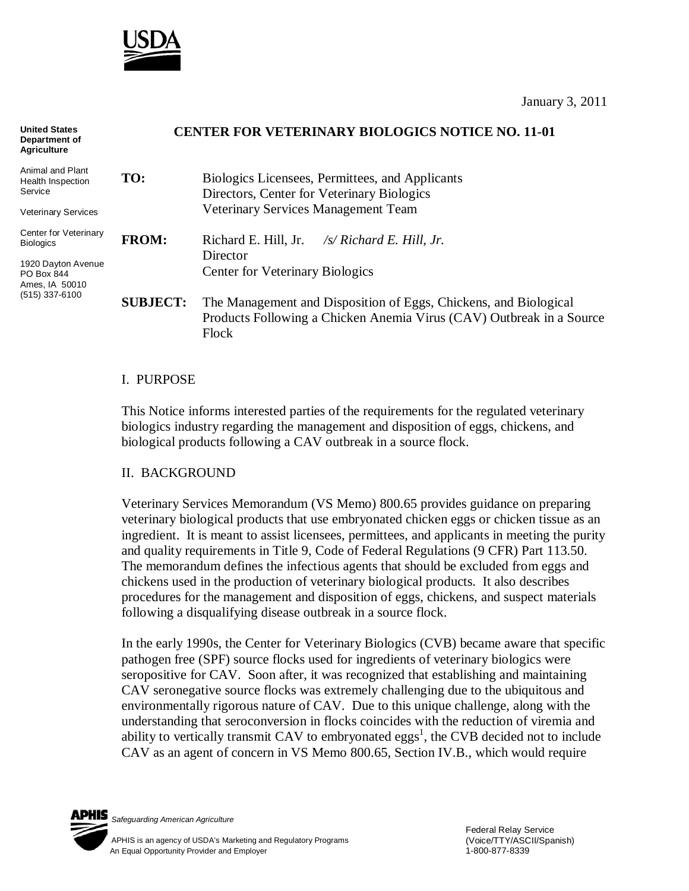

January 3, 2011

| <b>United States</b><br>Department of<br><b>Agriculture</b> | <b>CENTER FOR VETERINARY BIOLOGICS NOTICE NO. 11-01</b> |                                                                                                                                                   |
|-------------------------------------------------------------|---------------------------------------------------------|---------------------------------------------------------------------------------------------------------------------------------------------------|
| Animal and Plant<br>Health Inspection<br>Service            | TO:                                                     | Biologics Licensees, Permittees, and Applicants<br>Directors, Center for Veterinary Biologics                                                     |
| <b>Veterinary Services</b>                                  |                                                         | Veterinary Services Management Team                                                                                                               |
| Center for Veterinary<br><b>Biologics</b>                   | <b>FROM:</b>                                            | Richard E. Hill, Jr.<br>$\frac{1}{s}$ Richard E. Hill, Jr.<br>Director                                                                            |
| 1920 Dayton Avenue<br>PO Box 844<br>Ames, IA 50010          |                                                         | <b>Center for Veterinary Biologics</b>                                                                                                            |
| $(515)$ 337-6100                                            | <b>SUBJECT:</b>                                         | The Management and Disposition of Eggs, Chickens, and Biological<br>Products Following a Chicken Anemia Virus (CAV) Outbreak in a Source<br>Flock |

### I. PURPOSE

This Notice informs interested parties of the requirements for the regulated veterinary biologics industry regarding the management and disposition of eggs, chickens, and biological products following a CAV outbreak in a source flock.

### II. BACKGROUND

Veterinary Services Memorandum (VS Memo) 800.65 provides guidance on preparing veterinary biological products that use embryonated chicken eggs or chicken tissue as an ingredient. It is meant to assist licensees, permittees, and applicants in meeting the purity and quality requirements in Title 9, Code of Federal Regulations (9 CFR) Part 113.50. The memorandum defines the infectious agents that should be excluded from eggs and chickens used in the production of veterinary biological products. It also describes procedures for the management and disposition of eggs, chickens, and suspect materials following a disqualifying disease outbreak in a source flock.

In the early 1990s, the Center for Veterinary Biologics (CVB) became aware that specific pathogen free (SPF) source flocks used for ingredients of veterinary biologics were seropositive for CAV. Soon after, it was recognized that establishing and maintaining CAV seronegative source flocks was extremely challenging due to the ubiquitous and environmentally rigorous nature of CAV. Due to this unique challenge, along with the understanding that seroconversion in flocks coincides with the reduction of viremia and ability to vertically transmit CAV to embryonated eggs<sup>1</sup>, the CVB decided not to include CAV as an agent of concern in VS Memo 800.65, Section IV.B., which would require

*Safeguarding American Agriculture*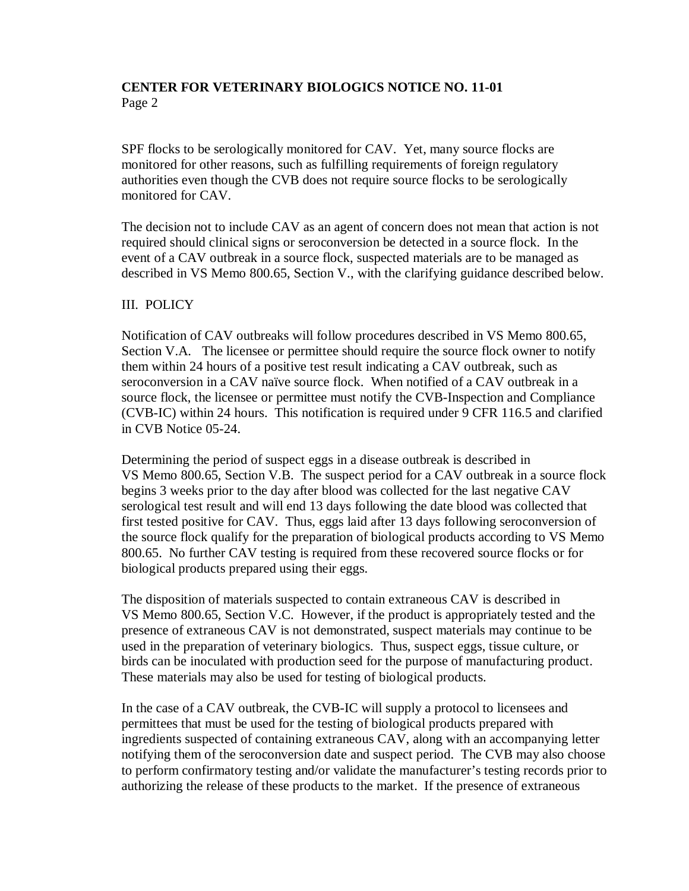# **CENTER FOR VETERINARY BIOLOGICS NOTICE NO. 11-01** Page 2

SPF flocks to be serologically monitored for CAV. Yet, many source flocks are monitored for other reasons, such as fulfilling requirements of foreign regulatory authorities even though the CVB does not require source flocks to be serologically monitored for CAV.

The decision not to include CAV as an agent of concern does not mean that action is not required should clinical signs or seroconversion be detected in a source flock. In the event of a CAV outbreak in a source flock, suspected materials are to be managed as described in VS Memo 800.65, Section V., with the clarifying guidance described below.

### III. POLICY

Notification of CAV outbreaks will follow procedures described in VS Memo 800.65, Section V.A. The licensee or permittee should require the source flock owner to notify them within 24 hours of a positive test result indicating a CAV outbreak, such as seroconversion in a CAV naïve source flock. When notified of a CAV outbreak in a source flock, the licensee or permittee must notify the CVB-Inspection and Compliance (CVB-IC) within 24 hours. This notification is required under 9 CFR 116.5 and clarified in CVB Notice 05-24.

Determining the period of suspect eggs in a disease outbreak is described in VS Memo 800.65, Section V.B. The suspect period for a CAV outbreak in a source flock begins 3 weeks prior to the day after blood was collected for the last negative CAV serological test result and will end 13 days following the date blood was collected that first tested positive for CAV. Thus, eggs laid after 13 days following seroconversion of the source flock qualify for the preparation of biological products according to VS Memo 800.65. No further CAV testing is required from these recovered source flocks or for biological products prepared using their eggs.

The disposition of materials suspected to contain extraneous CAV is described in VS Memo 800.65, Section V.C. However, if the product is appropriately tested and the presence of extraneous CAV is not demonstrated, suspect materials may continue to be used in the preparation of veterinary biologics. Thus, suspect eggs, tissue culture, or birds can be inoculated with production seed for the purpose of manufacturing product. These materials may also be used for testing of biological products.

In the case of a CAV outbreak, the CVB-IC will supply a protocol to licensees and permittees that must be used for the testing of biological products prepared with ingredients suspected of containing extraneous CAV, along with an accompanying letter notifying them of the seroconversion date and suspect period. The CVB may also choose to perform confirmatory testing and/or validate the manufacturer's testing records prior to authorizing the release of these products to the market. If the presence of extraneous